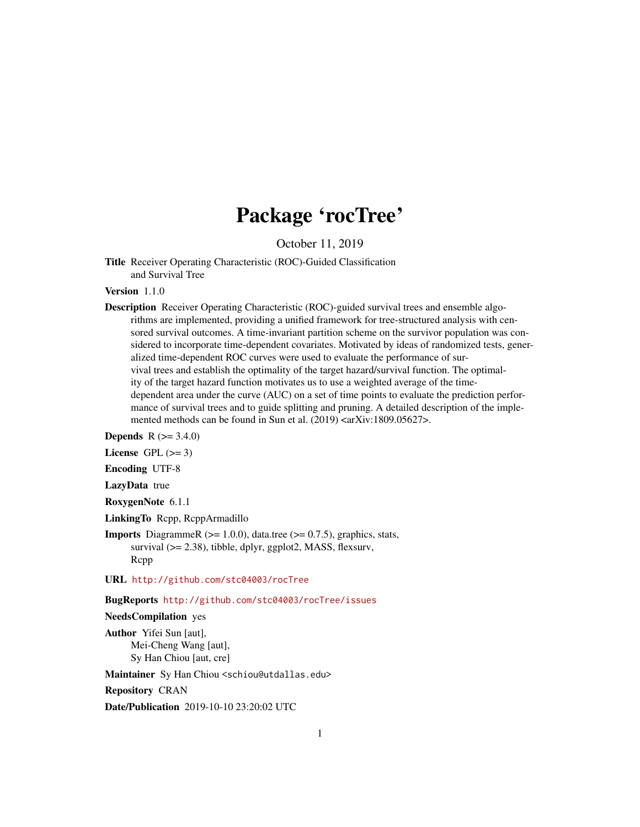## Package 'rocTree'

October 11, 2019

Title Receiver Operating Characteristic (ROC)-Guided Classification and Survival Tree

Version 1.1.0

Description Receiver Operating Characteristic (ROC)-guided survival trees and ensemble algorithms are implemented, providing a unified framework for tree-structured analysis with censored survival outcomes. A time-invariant partition scheme on the survivor population was considered to incorporate time-dependent covariates. Motivated by ideas of randomized tests, generalized time-dependent ROC curves were used to evaluate the performance of survival trees and establish the optimality of the target hazard/survival function. The optimality of the target hazard function motivates us to use a weighted average of the timedependent area under the curve (AUC) on a set of time points to evaluate the prediction performance of survival trees and to guide splitting and pruning. A detailed description of the implemented methods can be found in Sun et al. (2019) <arXiv:1809.05627>.

**Depends** R  $(>= 3.4.0)$ 

License GPL  $(>= 3)$ 

Encoding UTF-8

LazyData true

RoxygenNote 6.1.1

LinkingTo Rcpp, RcppArmadillo

**Imports** DiagrammeR ( $>= 1.0.0$ ), data.tree ( $>= 0.7.5$ ), graphics, stats, survival ( $>= 2.38$ ), tibble, dplyr, ggplot2, MASS, flexsurv, Rcpp

URL <http://github.com/stc04003/rocTree>

BugReports <http://github.com/stc04003/rocTree/issues>

NeedsCompilation yes

Author Yifei Sun [aut], Mei-Cheng Wang [aut], Sy Han Chiou [aut, cre]

Maintainer Sy Han Chiou <schiou@utdallas.edu>

Repository CRAN

Date/Publication 2019-10-10 23:20:02 UTC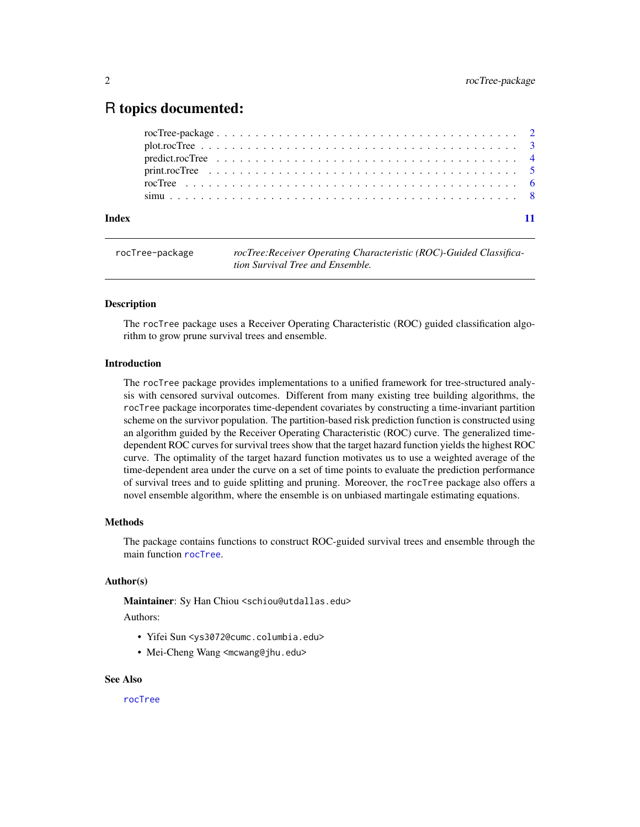### <span id="page-1-0"></span>R topics documented:

| Index |  |
|-------|--|

rocTree-package *rocTree:Receiver Operating Characteristic (ROC)-Guided Classification Survival Tree and Ensemble.*

#### Description

The rocTree package uses a Receiver Operating Characteristic (ROC) guided classification algorithm to grow prune survival trees and ensemble.

#### Introduction

The rocTree package provides implementations to a unified framework for tree-structured analysis with censored survival outcomes. Different from many existing tree building algorithms, the rocTree package incorporates time-dependent covariates by constructing a time-invariant partition scheme on the survivor population. The partition-based risk prediction function is constructed using an algorithm guided by the Receiver Operating Characteristic (ROC) curve. The generalized timedependent ROC curves for survival trees show that the target hazard function yields the highest ROC curve. The optimality of the target hazard function motivates us to use a weighted average of the time-dependent area under the curve on a set of time points to evaluate the prediction performance of survival trees and to guide splitting and pruning. Moreover, the rocTree package also offers a novel ensemble algorithm, where the ensemble is on unbiased martingale estimating equations.

#### Methods

The package contains functions to construct ROC-guided survival trees and ensemble through the main function [rocTree](#page-5-1).

#### Author(s)

Maintainer: Sy Han Chiou <schiou@utdallas.edu>

#### Authors:

- Yifei Sun <ys3072@cumc.columbia.edu>
- Mei-Cheng Wang <mcwang@jhu.edu>

#### See Also

[rocTree](#page-5-1)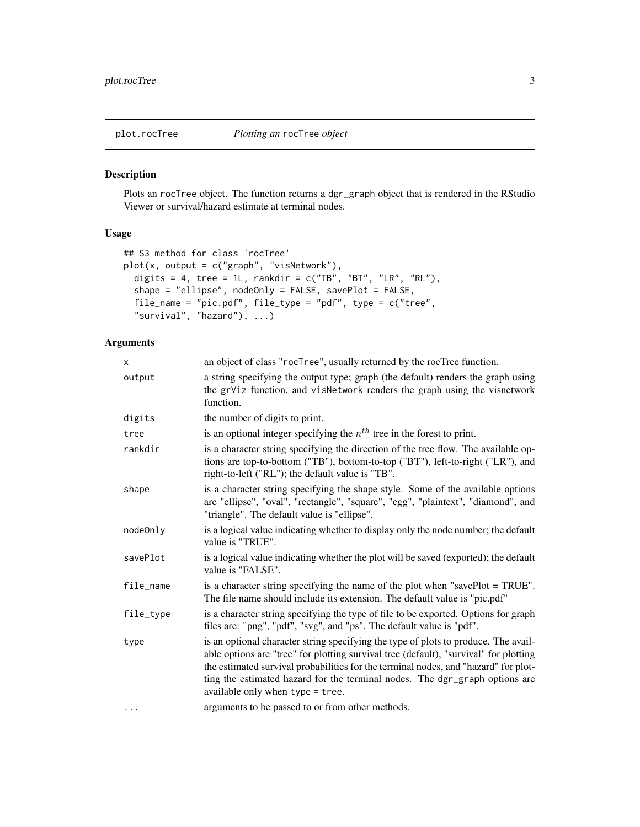<span id="page-2-1"></span><span id="page-2-0"></span>

#### Description

Plots an rocTree object. The function returns a dgr\_graph object that is rendered in the RStudio Viewer or survival/hazard estimate at terminal nodes.

#### Usage

```
## S3 method for class 'rocTree'
plot(x, output = c("graph", "visNetwork"),
 digits = 4, tree = 1L, rankdir = c("TB", "BT", "LR", "RL"),shape = "ellipse", nodeOnly = FALSE, savePlot = FALSE,
 file_name = "pic.pdf", file_type = "pdf", type = c("tree",
  "survival", "hazard"), ...)
```

| x         | an object of class "rocTree", usually returned by the rocTree function.                                                                                                                                                                                                                                                                                                                |
|-----------|----------------------------------------------------------------------------------------------------------------------------------------------------------------------------------------------------------------------------------------------------------------------------------------------------------------------------------------------------------------------------------------|
| output    | a string specifying the output type; graph (the default) renders the graph using<br>the grViz function, and visNetwork renders the graph using the visnetwork<br>function.                                                                                                                                                                                                             |
| digits    | the number of digits to print.                                                                                                                                                                                                                                                                                                                                                         |
| tree      | is an optional integer specifying the $nth$ tree in the forest to print.                                                                                                                                                                                                                                                                                                               |
| rankdir   | is a character string specifying the direction of the tree flow. The available op-<br>tions are top-to-bottom ("TB"), bottom-to-top ("BT"), left-to-right ("LR"), and<br>right-to-left ("RL"); the default value is "TB".                                                                                                                                                              |
| shape     | is a character string specifying the shape style. Some of the available options<br>are "ellipse", "oval", "rectangle", "square", "egg", "plaintext", "diamond", and<br>"triangle". The default value is "ellipse".                                                                                                                                                                     |
| nodeOnly  | is a logical value indicating whether to display only the node number; the default<br>value is "TRUE".                                                                                                                                                                                                                                                                                 |
| savePlot  | is a logical value indicating whether the plot will be saved (exported); the default<br>value is "FALSE".                                                                                                                                                                                                                                                                              |
| file name | is a character string specifying the name of the plot when "savePlot = TRUE".<br>The file name should include its extension. The default value is "pic.pdf"                                                                                                                                                                                                                            |
| file_tvpe | is a character string specifying the type of file to be exported. Options for graph<br>files are: "png", "pdf", "svg", and "ps". The default value is "pdf".                                                                                                                                                                                                                           |
| type      | is an optional character string specifying the type of plots to produce. The avail-<br>able options are "tree" for plotting survival tree (default), "survival" for plotting<br>the estimated survival probabilities for the terminal nodes, and "hazard" for plot-<br>ting the estimated hazard for the terminal nodes. The dgr_graph options are<br>available only when type = tree. |
| .         | arguments to be passed to or from other methods.                                                                                                                                                                                                                                                                                                                                       |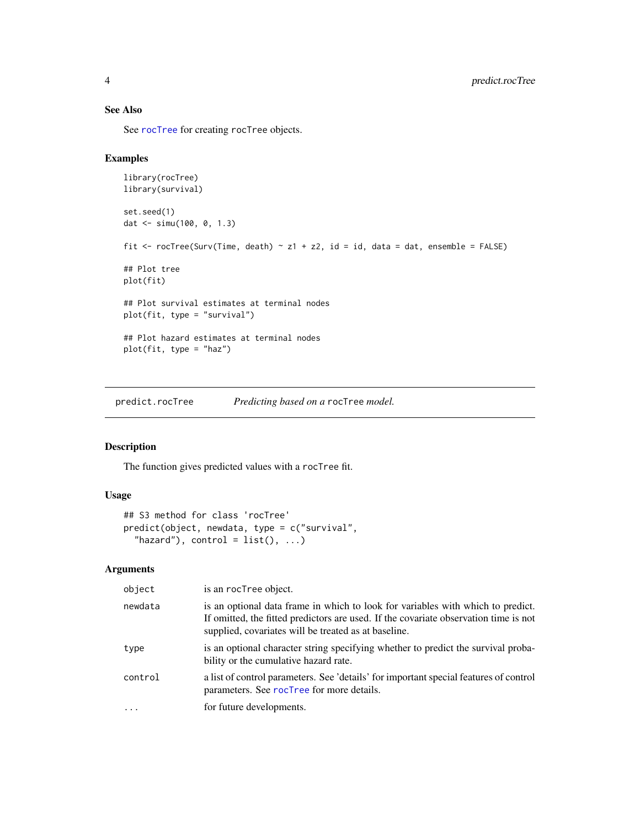#### See Also

See [rocTree](#page-5-1) for creating rocTree objects.

#### Examples

```
library(rocTree)
library(survival)
set.seed(1)
dat <- simu(100, 0, 1.3)
fit <- rocTree(Surv(Time, death) ~ z1 + z2, id = id, data = dat, ensemble = FALSE)
## Plot tree
plot(fit)
## Plot survival estimates at terminal nodes
plot(fit, type = "survival")
## Plot hazard estimates at terminal nodes
plot(fit, type = "haz")
```
predict.rocTree *Predicting based on a* rocTree *model.*

#### Description

The function gives predicted values with a rocTree fit.

#### Usage

```
## S3 method for class 'rocTree'
predict(object, newdata, type = c("survival",
  "hazard"), control = list(), ...)
```

| object   | is an rocTree object.                                                                                                                                                                                                           |
|----------|---------------------------------------------------------------------------------------------------------------------------------------------------------------------------------------------------------------------------------|
| newdata  | is an optional data frame in which to look for variables with which to predict.<br>If omitted, the fitted predictors are used. If the covariate observation time is not<br>supplied, covariates will be treated as at baseline. |
| type     | is an optional character string specifying whether to predict the survival proba-<br>bility or the cumulative hazard rate.                                                                                                      |
| control  | a list of control parameters. See 'details' for important special features of control<br>parameters. See rocTree for more details.                                                                                              |
| $\cdots$ | for future developments.                                                                                                                                                                                                        |

<span id="page-3-0"></span>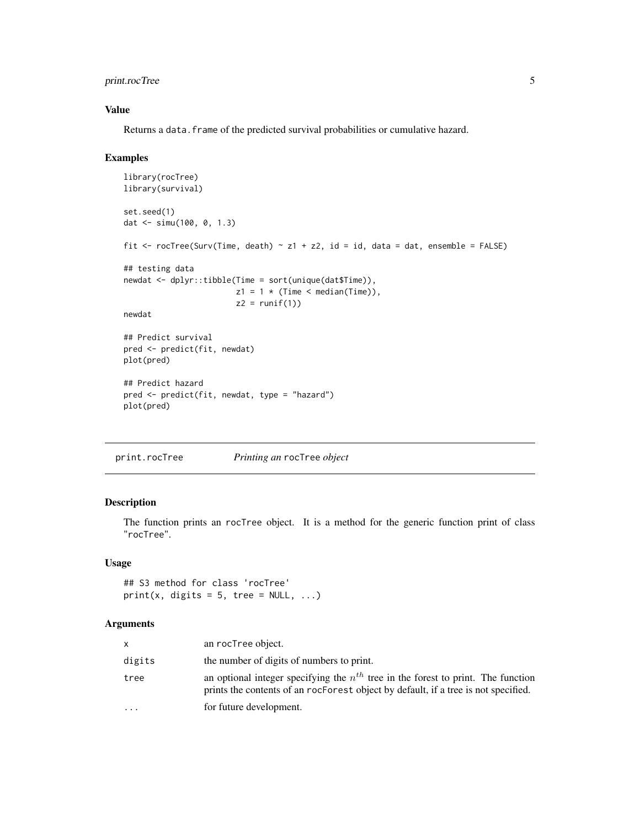#### <span id="page-4-0"></span>print.rocTree 5

#### Value

Returns a data. frame of the predicted survival probabilities or cumulative hazard.

#### Examples

```
library(rocTree)
library(survival)
set.seed(1)
dat <- simu(100, 0, 1.3)
fit <- rocTree(Surv(Time, death) ~ z1 + z2, id = id, data = dat, ensemble = FALSE)
## testing data
newdat <- dplyr::tibble(Time = sort(unique(dat$Time)),
                        z1 = 1 * (Time < median(Time)),z2 = runif(1)newdat
## Predict survival
pred <- predict(fit, newdat)
plot(pred)
## Predict hazard
pred <- predict(fit, newdat, type = "hazard")
plot(pred)
```
<span id="page-4-1"></span>print.rocTree *Printing an* rocTree *object*

#### Description

The function prints an rocTree object. It is a method for the generic function print of class "rocTree".

#### Usage

## S3 method for class 'rocTree'  $print(x, digits = 5, tree = NULL, ...)$ 

|           | an rocTree object.                                                                                                                                                          |
|-----------|-----------------------------------------------------------------------------------------------------------------------------------------------------------------------------|
| digits    | the number of digits of numbers to print.                                                                                                                                   |
| tree      | an optional integer specifying the $n^{th}$ tree in the forest to print. The function<br>prints the contents of an rocForest object by default, if a tree is not specified. |
| $\ddotsc$ | for future development.                                                                                                                                                     |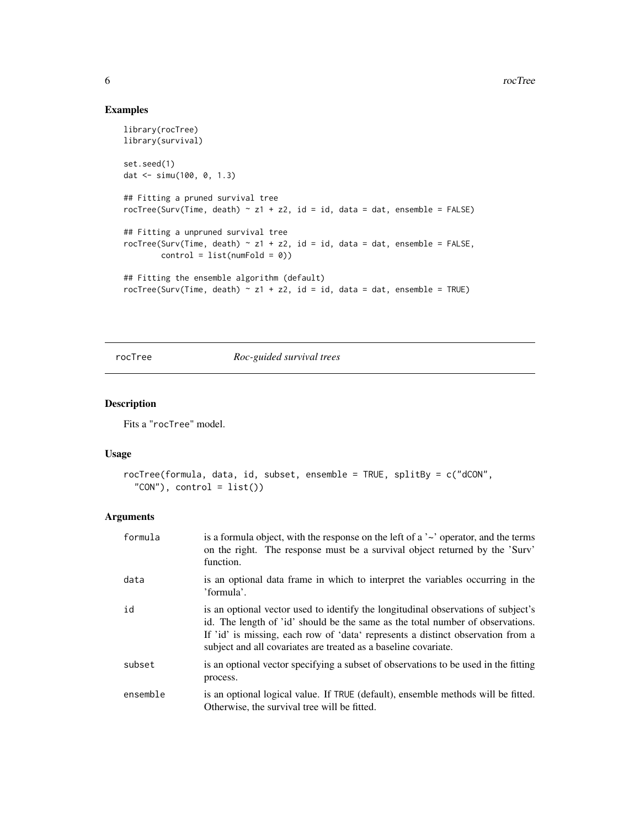#### Examples

```
library(rocTree)
library(survival)
set.seed(1)
dat <- simu(100, 0, 1.3)
## Fitting a pruned survival tree
rocTree(Surv(Time, death) \sim z1 + z2, id = id, data = dat, ensemble = FALSE)
## Fitting a unpruned survival tree
rocTree(Surv(Time, death) \sim z1 + z2, id = id, data = dat, ensemble = FALSE,
        control = list(numFold = 0)## Fitting the ensemble algorithm (default)
rocTree(Surv(Time, death) \sim z1 + z2, id = id, data = dat, ensemble = TRUE)
```
<span id="page-5-1"></span>rocTree *Roc-guided survival trees*

#### Description

Fits a "rocTree" model.

#### Usage

```
rocTree(formula, data, id, subset, ensemble = TRUE, splitBy = c("dCON",
  "CON"), control = list()
```

| formula  | is a formula object, with the response on the left of a $\sim$ operator, and the terms<br>on the right. The response must be a survival object returned by the 'Surv'<br>function.                                                                                                                                        |
|----------|---------------------------------------------------------------------------------------------------------------------------------------------------------------------------------------------------------------------------------------------------------------------------------------------------------------------------|
| data     | is an optional data frame in which to interpret the variables occurring in the<br>'formula'.                                                                                                                                                                                                                              |
| id       | is an optional vector used to identify the longitudinal observations of subject's<br>id. The length of 'id' should be the same as the total number of observations.<br>If 'id' is missing, each row of 'data' represents a distinct observation from a<br>subject and all covariates are treated as a baseline covariate. |
| subset   | is an optional vector specifying a subset of observations to be used in the fitting<br>process.                                                                                                                                                                                                                           |
| ensemble | is an optional logical value. If TRUE (default), ensemble methods will be fitted.<br>Otherwise, the survival tree will be fitted.                                                                                                                                                                                         |

<span id="page-5-0"></span>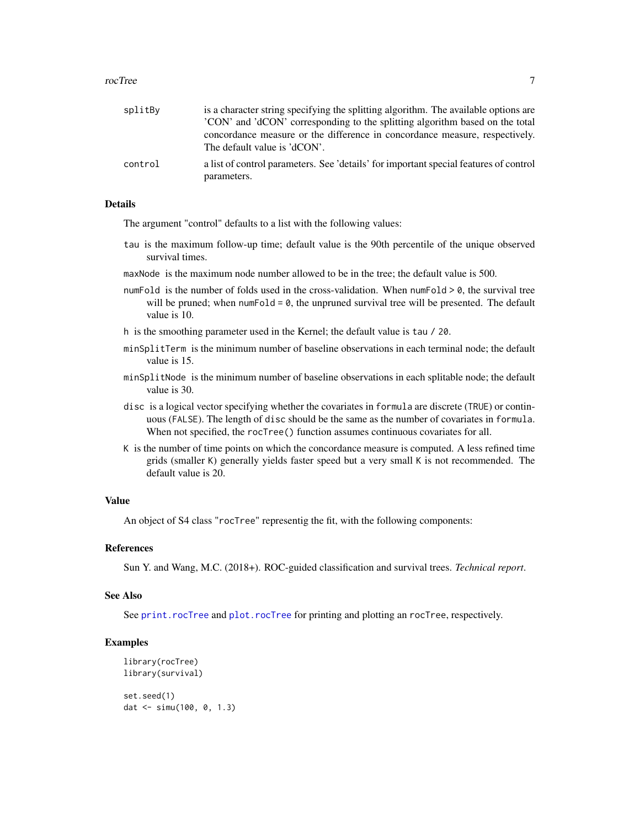#### <span id="page-6-0"></span>rocTree 7

| splitBy | is a character string specifying the splitting algorithm. The available options are                         |
|---------|-------------------------------------------------------------------------------------------------------------|
|         | 'CON' and 'dCON' corresponding to the splitting algorithm based on the total                                |
|         | concordance measure or the difference in concordance measure, respectively.<br>The default value is 'dCON'. |
| control | a list of control parameters. See 'details' for important special features of control<br>parameters.        |

#### Details

The argument "control" defaults to a list with the following values:

- tau is the maximum follow-up time; default value is the 90th percentile of the unique observed survival times.
- maxNode is the maximum node number allowed to be in the tree; the default value is 500.
- numFold is the number of folds used in the cross-validation. When numFold  $> 0$ , the survival tree will be pruned; when numFold =  $\theta$ , the unpruned survival tree will be presented. The default value is 10.
- h is the smoothing parameter used in the Kernel; the default value is tau / 20.
- minSplitTerm is the minimum number of baseline observations in each terminal node; the default value is 15.
- minSplitNode is the minimum number of baseline observations in each splitable node; the default value is 30.
- disc is a logical vector specifying whether the covariates in formula are discrete (TRUE) or continuous (FALSE). The length of disc should be the same as the number of covariates in formula. When not specified, the rocTree() function assumes continuous covariates for all.
- K is the number of time points on which the concordance measure is computed. A less refined time grids (smaller K) generally yields faster speed but a very small K is not recommended. The default value is 20.

#### Value

An object of S4 class "rocTree" representig the fit, with the following components:

#### References

Sun Y. and Wang, M.C. (2018+). ROC-guided classification and survival trees. *Technical report*.

#### See Also

See [print.rocTree](#page-4-1) and [plot.rocTree](#page-2-1) for printing and plotting an rocTree, respectively.

#### Examples

```
library(rocTree)
library(survival)
set.seed(1)
dat <- simu(100, 0, 1.3)
```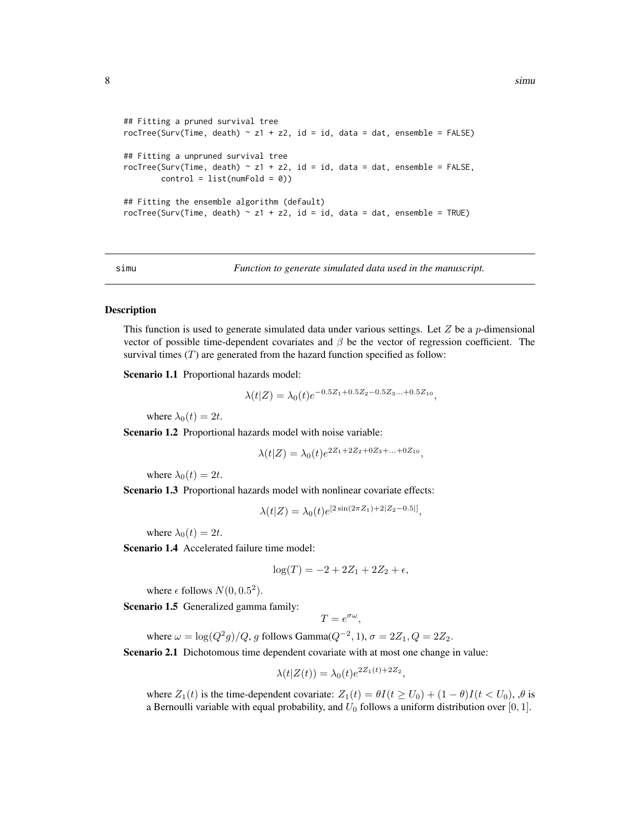```
## Fitting a pruned survival tree
rocTree(Surv(Time, death) \sim z1 + z2, id = id, data = dat, ensemble = FALSE)
## Fitting a unpruned survival tree
rocTree(Surv(Time, death) ~ z1 + z2, id = id, data = dat, ensemble = FALSE,control = list(numFold = 0))## Fitting the ensemble algorithm (default)
rocTree(Surv(Time, death) \sim z1 + z2, id = id, data = dat, ensemble = TRUE)
```
simu *Function to generate simulated data used in the manuscript.*

#### Description

This function is used to generate simulated data under various settings. Let  $Z$  be a  $p$ -dimensional vector of possible time-dependent covariates and  $\beta$  be the vector of regression coefficient. The survival times  $(T)$  are generated from the hazard function specified as follow:

Scenario 1.1 Proportional hazards model:

$$
\lambda(t|Z) = \lambda_0(t)e^{-0.5Z_1 + 0.5Z_2 - 0.5Z_3... + 0.5Z_{10}},
$$

where  $\lambda_0(t) = 2t$ .

Scenario 1.2 Proportional hazards model with noise variable:

$$
\lambda(t|Z) = \lambda_0(t)e^{2Z_1 + 2Z_2 + 0Z_3 + \dots + 0Z_{10}},
$$

where  $\lambda_0(t) = 2t$ .

Scenario 1.3 Proportional hazards model with nonlinear covariate effects:

$$
\lambda(t|Z) = \lambda_0(t)e^{[2\sin(2\pi Z_1) + 2|Z_2 - 0.5]]},
$$

where  $\lambda_0(t) = 2t$ .

Scenario 1.4 Accelerated failure time model:

$$
\log(T) = -2 + 2Z_1 + 2Z_2 + \epsilon,
$$

where  $\epsilon$  follows  $N(0, 0.5^2)$ .

Scenario 1.5 Generalized gamma family:

$$
T=e^{\sigma\omega},
$$

where  $\omega = \log(Q^2 g)/Q$ , g follows Gamma $(Q^{-2}, 1)$ ,  $\sigma = 2Z_1$ ,  $Q = 2Z_2$ .

Scenario 2.1 Dichotomous time dependent covariate with at most one change in value:

$$
\lambda(t|Z(t)) = \lambda_0(t)e^{2Z_1(t)+2Z_2},
$$

where  $Z_1(t)$  is the time-dependent covariate:  $Z_1(t) = \theta I(t \ge U_0) + (1 - \theta)I(t \le U_0)$ ,  $\theta$  is a Bernoulli variable with equal probability, and  $U_0$  follows a uniform distribution over [0, 1].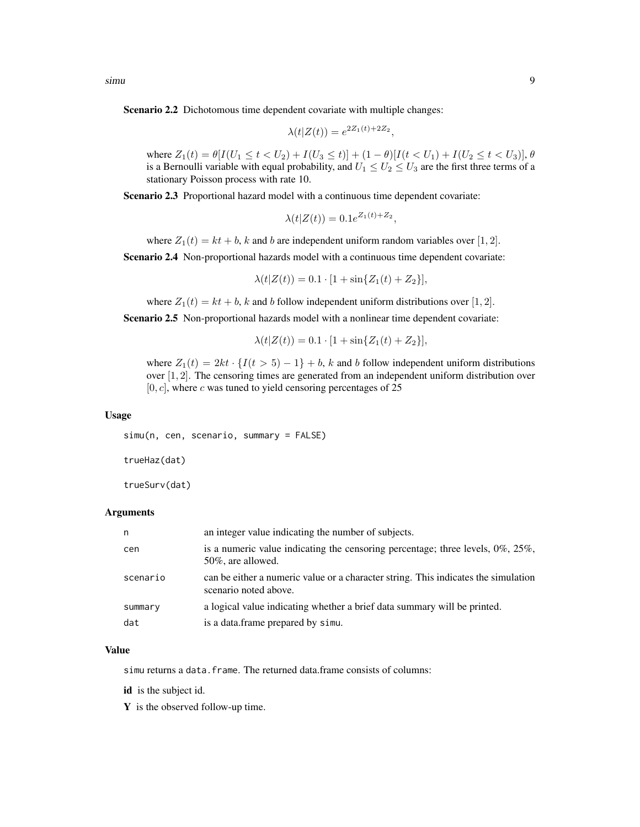Scenario 2.2 Dichotomous time dependent covariate with multiple changes:

$$
\lambda(t|Z(t)) = e^{2Z_1(t) + 2Z_2},
$$

where  $Z_1(t) = \theta[I(U_1 \le t < U_2) + I(U_3 \le t)] + (1 - \theta)[I(t < U_1) + I(U_2 \le t < U_3)], \theta$ is a Bernoulli variable with equal probability, and  $U_1 \leq U_2 \leq U_3$  are the first three terms of a stationary Poisson process with rate 10.

Scenario 2.3 Proportional hazard model with a continuous time dependent covariate:

 $\lambda(t|Z(t)) = 0.1e^{Z_1(t)+Z_2},$ 

where  $Z_1(t) = kt + b$ , k and b are independent uniform random variables over [1, 2].

Scenario 2.4 Non-proportional hazards model with a continuous time dependent covariate:

$$
\lambda(t|Z(t)) = 0.1 \cdot [1 + \sin\{Z_1(t) + Z_2\}],
$$

where  $Z_1(t) = kt + b$ , k and b follow independent uniform distributions over [1, 2].

Scenario 2.5 Non-proportional hazards model with a nonlinear time dependent covariate:

 $\lambda(t|Z(t)) = 0.1 \cdot [1 + \sin\{Z_1(t) + Z_2\}],$ 

where  $Z_1(t) = 2kt \cdot \{I(t > 5) - 1\} + b$ , k and b follow independent uniform distributions over [1, 2]. The censoring times are generated from an independent uniform distribution over  $[0, c]$ , where c was tuned to yield censoring percentages of 25

#### Usage

simu(n, cen, scenario, summary = FALSE)

trueHaz(dat)

trueSurv(dat)

#### Arguments

| n        | an integer value indicating the number of subjects.                                                         |
|----------|-------------------------------------------------------------------------------------------------------------|
| cen      | is a numeric value indicating the censoring percentage; three levels, $0\%$ , $25\%$ ,<br>50%, are allowed. |
| scenario | can be either a numeric value or a character string. This indicates the simulation<br>scenario noted above. |
| summary  | a logical value indicating whether a brief data summary will be printed.                                    |
| dat      | is a data. frame prepared by simu.                                                                          |
|          |                                                                                                             |

#### Value

simu returns a data.frame. The returned data.frame consists of columns:

id is the subject id.

Y is the observed follow-up time.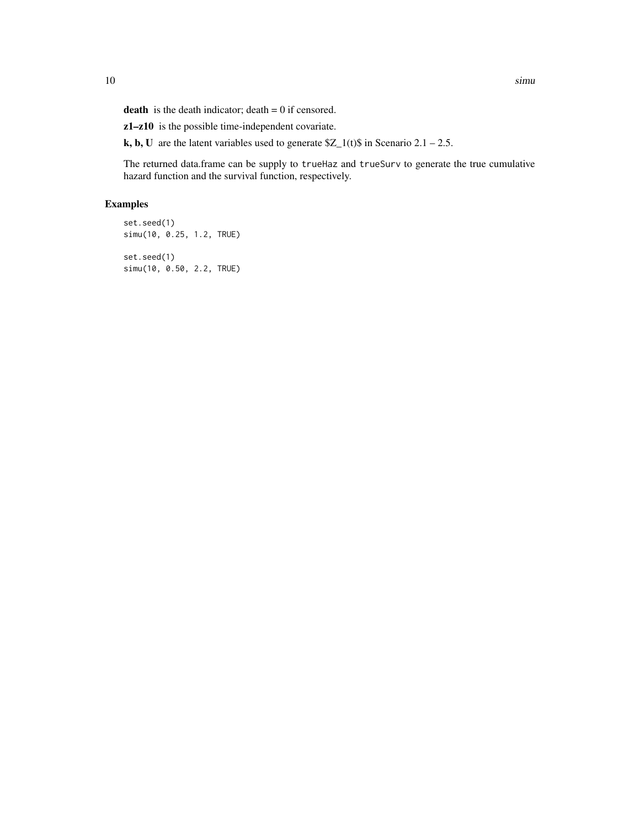**death** is the death indicator;  $\text{death} = 0$  if censored.

z1–z10 is the possible time-independent covariate.

k, b, U are the latent variables used to generate  $Z_1(t)$  in Scenario 2.1 – 2.5.

The returned data.frame can be supply to trueHaz and trueSurv to generate the true cumulative hazard function and the survival function, respectively.

#### Examples

set.seed(1) simu(10, 0.25, 1.2, TRUE) set.seed(1)

simu(10, 0.50, 2.2, TRUE)